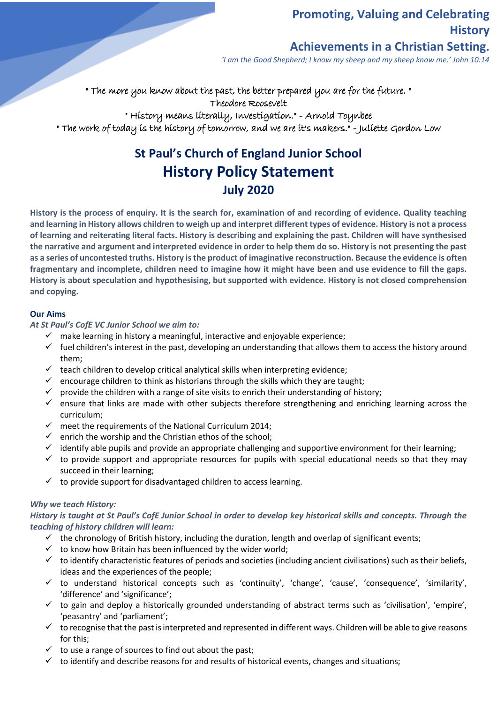# **Promoting, Valuing and Celebrating History**

# **Achievements in a Christian Setting.**

*'I am the Good Shepherd; I know my sheep and my sheep know me.' John 10:14*

" The more you know about the past, the better prepared you are for the future. " Theodore Roosevelt

" History means literally, Investigation." - Arnold Toynbee

" The work of today is the history of tomorrow, and we are it's makers." - Juliette Gordon Low

# **St Paul's Church of England Junior School History Policy Statement July 2020**

**History is the process of enquiry. It is the search for, examination of and recording of evidence. Quality teaching and learning in History allows children to weigh up and interpret different types of evidence. History is not a process of learning and reiterating literal facts. History is describing and explaining the past. Children will have synthesised the narrative and argument and interpreted evidence in order to help them do so. History is not presenting the past as a series of uncontested truths. History is the product of imaginative reconstruction. Because the evidence is often fragmentary and incomplete, children need to imagine how it might have been and use evidence to fill the gaps. History is about speculation and hypothesising, but supported with evidence. History is not closed comprehension and copying.** 

#### **Our Aims**

*At St Paul's CofE VC Junior School we aim to:* 

- $\checkmark$  make learning in history a meaningful, interactive and enjoyable experience;
- $\checkmark$  fuel children's interest in the past, developing an understanding that allows them to access the history around them;
- $\checkmark$  teach children to develop critical analytical skills when interpreting evidence;
- $\checkmark$  encourage children to think as historians through the skills which they are taught;
- $\checkmark$  provide the children with a range of site visits to enrich their understanding of history;
- $\checkmark$  ensure that links are made with other subjects therefore strengthening and enriching learning across the curriculum;
- $\checkmark$  meet the requirements of the National Curriculum 2014;
- $\checkmark$  enrich the worship and the Christian ethos of the school;
- $\checkmark$  identify able pupils and provide an appropriate challenging and supportive environment for their learning;
- $\checkmark$  to provide support and appropriate resources for pupils with special educational needs so that they may succeed in their learning;
- $\checkmark$  to provide support for disadvantaged children to access learning.

#### *Why we teach History:*

*History is taught at St Paul's CofE Junior School in order to develop key historical skills and concepts. Through the teaching of history children will learn:* 

- $\checkmark$  the chronology of British history, including the duration, length and overlap of significant events;
- $\checkmark$  to know how Britain has been influenced by the wider world;
- $\checkmark$  to identify characteristic features of periods and societies (including ancient civilisations) such as their beliefs, ideas and the experiences of the people;
- ✓ to understand historical concepts such as 'continuity', 'change', 'cause', 'consequence', 'similarity', 'difference' and 'significance';
- $\checkmark$  to gain and deploy a historically grounded understanding of abstract terms such as 'civilisation', 'empire', 'peasantry' and 'parliament';
- $\checkmark$  to recognise that the past is interpreted and represented in different ways. Children will be able to give reasons for this;
- $\checkmark$  to use a range of sources to find out about the past;
- $\checkmark$  to identify and describe reasons for and results of historical events, changes and situations;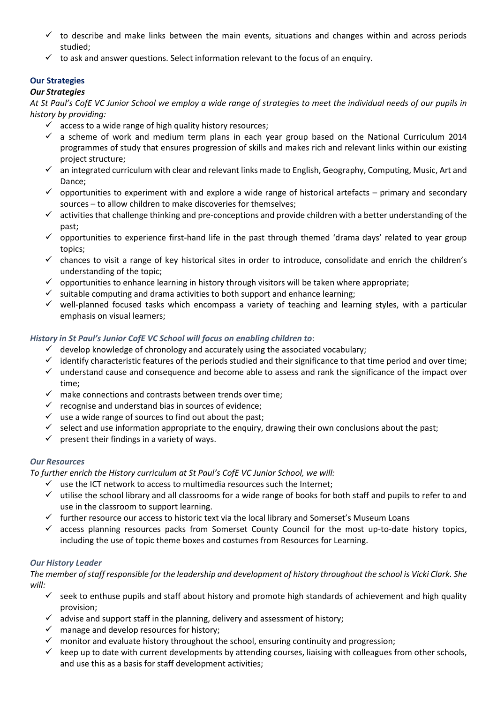- $\checkmark$  to describe and make links between the main events, situations and changes within and across periods studied;
- $\checkmark$  to ask and answer questions. Select information relevant to the focus of an enquiry.

# **Our Strategies**

# *Our Strategies*

*At St Paul's CofE VC Junior School we employ a wide range of strategies to meet the individual needs of our pupils in history by providing:* 

- $\checkmark$  access to a wide range of high quality history resources;
- $\checkmark$  a scheme of work and medium term plans in each year group based on the National Curriculum 2014 programmes of study that ensures progression of skills and makes rich and relevant links within our existing project structure;
- ✓ an integrated curriculum with clear and relevant links made to English, Geography, Computing, Music, Art and Dance;
- $\checkmark$  opportunities to experiment with and explore a wide range of historical artefacts primary and secondary sources – to allow children to make discoveries for themselves;
- ✓ activities that challenge thinking and pre-conceptions and provide children with a better understanding of the past;
- ✓ opportunities to experience first-hand life in the past through themed 'drama days' related to year group topics;
- ✓ chances to visit a range of key historical sites in order to introduce, consolidate and enrich the children's understanding of the topic;
- $\checkmark$  opportunities to enhance learning in history through visitors will be taken where appropriate;
- $\checkmark$  suitable computing and drama activities to both support and enhance learning;
- $\checkmark$  well-planned focused tasks which encompass a variety of teaching and learning styles, with a particular emphasis on visual learners;

# *History in St Paul's Junior CofE VC School will focus on enabling children to*:

- $\checkmark$  develop knowledge of chronology and accurately using the associated vocabulary;
- ✓ identify characteristic features of the periods studied and their significance to that time period and over time;
- $\checkmark$  understand cause and consequence and become able to assess and rank the significance of the impact over time;
- $\checkmark$  make connections and contrasts between trends over time;
- $\checkmark$  recognise and understand bias in sources of evidence;
- $\checkmark$  use a wide range of sources to find out about the past;
- $\checkmark$  select and use information appropriate to the enquiry, drawing their own conclusions about the past;
- $\checkmark$  present their findings in a variety of ways.

## *Our Resources*

*To further enrich the History curriculum at St Paul's CofE VC Junior School, we will:* 

- $\checkmark$  use the ICT network to access to multimedia resources such the Internet;
- $\checkmark$  utilise the school library and all classrooms for a wide range of books for both staff and pupils to refer to and use in the classroom to support learning.
- $\checkmark$  further resource our access to historic text via the local library and Somerset's Museum Loans
- $\checkmark$  access planning resources packs from Somerset County Council for the most up-to-date history topics, including the use of topic theme boxes and costumes from Resources for Learning.

## *Our History Leader*

*The member of staff responsible for the leadership and development of history throughout the school is Vicki Clark. She will:* 

- $\checkmark$  seek to enthuse pupils and staff about history and promote high standards of achievement and high quality provision;
- $\checkmark$  advise and support staff in the planning, delivery and assessment of history;
- $\checkmark$  manage and develop resources for history;
- $\checkmark$  monitor and evaluate history throughout the school, ensuring continuity and progression;
- $\checkmark$  keep up to date with current developments by attending courses, liaising with colleagues from other schools, and use this as a basis for staff development activities;